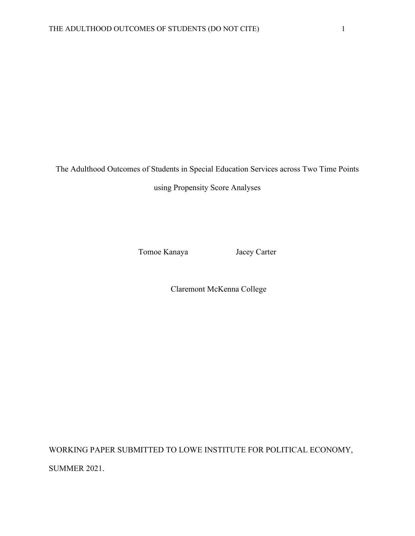The Adulthood Outcomes of Students in Special Education Services across Two Time Points

using Propensity Score Analyses

Tomoe Kanaya Jacey Carter

Claremont McKenna College

WORKING PAPER SUBMITTED TO LOWE INSTITUTE FOR POLITICAL ECONOMY, SUMMER 2021.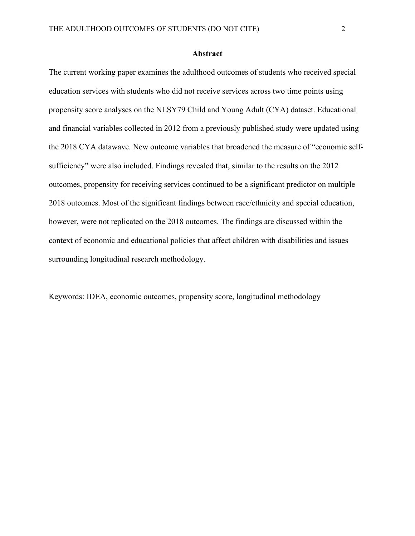### **Abstract**

The current working paper examines the adulthood outcomes of students who received special education services with students who did not receive services across two time points using propensity score analyses on the NLSY79 Child and Young Adult (CYA) dataset. Educational and financial variables collected in 2012 from a previously published study were updated using the 2018 CYA datawave. New outcome variables that broadened the measure of "economic selfsufficiency" were also included. Findings revealed that, similar to the results on the 2012 outcomes, propensity for receiving services continued to be a significant predictor on multiple 2018 outcomes. Most of the significant findings between race/ethnicity and special education, however, were not replicated on the 2018 outcomes. The findings are discussed within the context of economic and educational policies that affect children with disabilities and issues surrounding longitudinal research methodology.

Keywords: IDEA, economic outcomes, propensity score, longitudinal methodology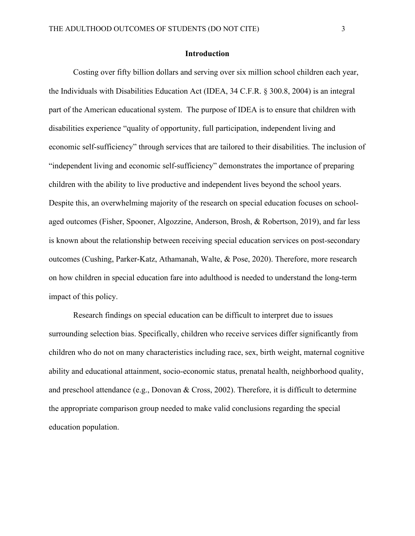### **Introduction**

Costing over fifty billion dollars and serving over six million school children each year, the Individuals with Disabilities Education Act (IDEA, 34 C.F.R. § 300.8, 2004) is an integral part of the American educational system. The purpose of IDEA is to ensure that children with disabilities experience "quality of opportunity, full participation, independent living and economic self-sufficiency" through services that are tailored to their disabilities. The inclusion of "independent living and economic self-sufficiency" demonstrates the importance of preparing children with the ability to live productive and independent lives beyond the school years. Despite this, an overwhelming majority of the research on special education focuses on schoolaged outcomes (Fisher, Spooner, Algozzine, Anderson, Brosh, & Robertson, 2019), and far less is known about the relationship between receiving special education services on post-secondary outcomes (Cushing, Parker-Katz, Athamanah, Walte, & Pose, 2020). Therefore, more research on how children in special education fare into adulthood is needed to understand the long-term impact of this policy.

Research findings on special education can be difficult to interpret due to issues surrounding selection bias. Specifically, children who receive services differ significantly from children who do not on many characteristics including race, sex, birth weight, maternal cognitive ability and educational attainment, socio-economic status, prenatal health, neighborhood quality, and preschool attendance (e.g., Donovan & Cross, 2002). Therefore, it is difficult to determine the appropriate comparison group needed to make valid conclusions regarding the special education population.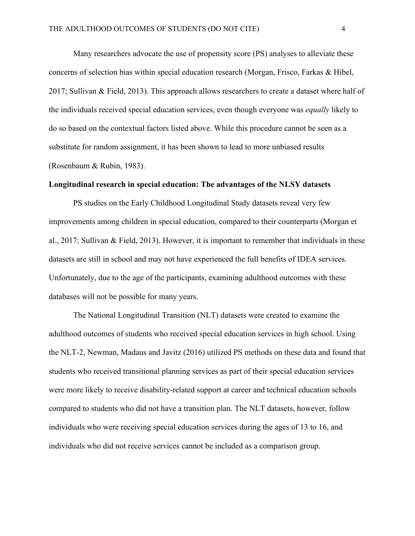Many researchers advocate the use of propensity score (PS) analyses to alleviate these concerns of selection bias within special education research (Morgan, Frisco, Farkas & Hibel, 2017; Sullivan & Field, 2013). This approach allows researchers to create a dataset where half of the individuals received special education services, even though everyone was *equally* likely to do so based on the contextual factors listed above. While this procedure cannot be seen as a substitute for random assignment, it has been shown to lead to more unbiased results (Rosenbaum & Rubin, 1983).

## **Longitudinal research in special education: The advantages of the NLSY datasets**

PS studies on the Early Childhood Longitudinal Study datasets reveal very few improvements among children in special education, compared to their counterparts (Morgan et al., 2017; Sullivan & Field, 2013). However, it is important to remember that individuals in these datasets are still in school and may not have experienced the full benefits of IDEA services. Unfortunately, due to the age of the participants, examining adulthood outcomes with these databases will not be possible for many years.

The National Longitudinal Transition (NLT) datasets were created to examine the adulthood outcomes of students who received special education services in high school. Using the NLT-2, Newman, Madaus and Javitz (2016) utilized PS methods on these data and found that students who received transitional planning services as part of their special education services were more likely to receive disability-related support at career and technical education schools compared to students who did not have a transition plan. The NLT datasets, however, follow individuals who were receiving special education services during the ages of 13 to 16, and individuals who did not receive services cannot be included as a comparison group.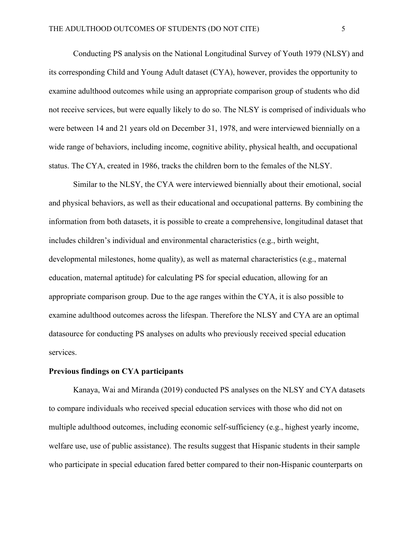Conducting PS analysis on the National Longitudinal Survey of Youth 1979 (NLSY) and its corresponding Child and Young Adult dataset (CYA), however, provides the opportunity to examine adulthood outcomes while using an appropriate comparison group of students who did not receive services, but were equally likely to do so. The NLSY is comprised of individuals who were between 14 and 21 years old on December 31, 1978, and were interviewed biennially on a wide range of behaviors, including income, cognitive ability, physical health, and occupational status. The CYA, created in 1986, tracks the children born to the females of the NLSY.

Similar to the NLSY, the CYA were interviewed biennially about their emotional, social and physical behaviors, as well as their educational and occupational patterns. By combining the information from both datasets, it is possible to create a comprehensive, longitudinal dataset that includes children's individual and environmental characteristics (e.g., birth weight, developmental milestones, home quality), as well as maternal characteristics (e.g., maternal education, maternal aptitude) for calculating PS for special education, allowing for an appropriate comparison group. Due to the age ranges within the CYA, it is also possible to examine adulthood outcomes across the lifespan. Therefore the NLSY and CYA are an optimal datasource for conducting PS analyses on adults who previously received special education services.

### **Previous findings on CYA participants**

Kanaya, Wai and Miranda (2019) conducted PS analyses on the NLSY and CYA datasets to compare individuals who received special education services with those who did not on multiple adulthood outcomes, including economic self-sufficiency (e.g., highest yearly income, welfare use, use of public assistance). The results suggest that Hispanic students in their sample who participate in special education fared better compared to their non-Hispanic counterparts on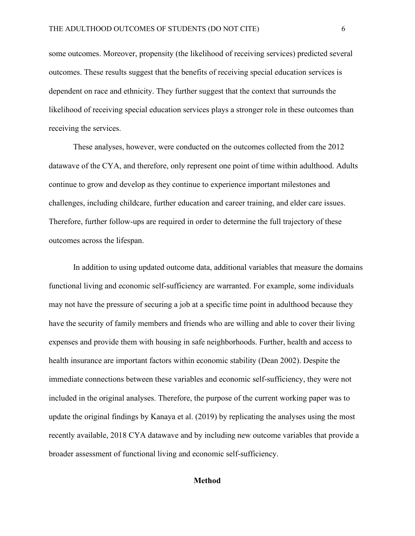some outcomes. Moreover, propensity (the likelihood of receiving services) predicted several outcomes. These results suggest that the benefits of receiving special education services is dependent on race and ethnicity. They further suggest that the context that surrounds the likelihood of receiving special education services plays a stronger role in these outcomes than receiving the services.

These analyses, however, were conducted on the outcomes collected from the 2012 datawave of the CYA, and therefore, only represent one point of time within adulthood. Adults continue to grow and develop as they continue to experience important milestones and challenges, including childcare, further education and career training, and elder care issues. Therefore, further follow-ups are required in order to determine the full trajectory of these outcomes across the lifespan.

In addition to using updated outcome data, additional variables that measure the domains functional living and economic self-sufficiency are warranted. For example, some individuals may not have the pressure of securing a job at a specific time point in adulthood because they have the security of family members and friends who are willing and able to cover their living expenses and provide them with housing in safe neighborhoods. Further, health and access to health insurance are important factors within economic stability (Dean 2002). Despite the immediate connections between these variables and economic self-sufficiency, they were not included in the original analyses. Therefore, the purpose of the current working paper was to update the original findings by Kanaya et al. (2019) by replicating the analyses using the most recently available, 2018 CYA datawave and by including new outcome variables that provide a broader assessment of functional living and economic self-sufficiency.

#### **Method**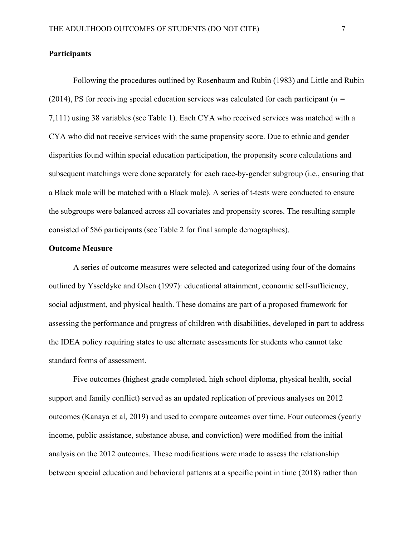### **Participants**

Following the procedures outlined by Rosenbaum and Rubin (1983) and Little and Rubin (2014), PS for receiving special education services was calculated for each participant (*n =*  7,111) using 38 variables (see Table 1). Each CYA who received services was matched with a CYA who did not receive services with the same propensity score. Due to ethnic and gender disparities found within special education participation, the propensity score calculations and subsequent matchings were done separately for each race-by-gender subgroup (i.e., ensuring that a Black male will be matched with a Black male). A series of t-tests were conducted to ensure the subgroups were balanced across all covariates and propensity scores. The resulting sample consisted of 586 participants (see Table 2 for final sample demographics).

## **Outcome Measure**

A series of outcome measures were selected and categorized using four of the domains outlined by Ysseldyke and Olsen (1997): educational attainment, economic self-sufficiency, social adjustment, and physical health. These domains are part of a proposed framework for assessing the performance and progress of children with disabilities, developed in part to address the IDEA policy requiring states to use alternate assessments for students who cannot take standard forms of assessment.

Five outcomes (highest grade completed, high school diploma, physical health, social support and family conflict) served as an updated replication of previous analyses on 2012 outcomes (Kanaya et al, 2019) and used to compare outcomes over time. Four outcomes (yearly income, public assistance, substance abuse, and conviction) were modified from the initial analysis on the 2012 outcomes. These modifications were made to assess the relationship between special education and behavioral patterns at a specific point in time (2018) rather than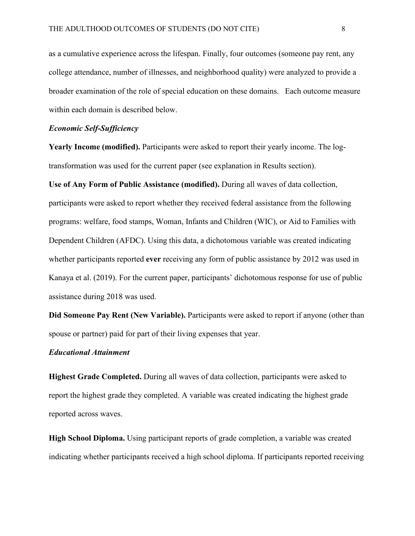as a cumulative experience across the lifespan. Finally, four outcomes (someone pay rent, any college attendance, number of illnesses, and neighborhood quality) were analyzed to provide a broader examination of the role of special education on these domains. Each outcome measure within each domain is described below.

### *Economic Self-Sufficiency*

**Yearly Income (modified).** Participants were asked to report their yearly income. The logtransformation was used for the current paper (see explanation in Results section).

**Use of Any Form of Public Assistance (modified).** During all waves of data collection, participants were asked to report whether they received federal assistance from the following programs: welfare, food stamps, Woman, Infants and Children (WIC), or Aid to Families with Dependent Children (AFDC). Using this data, a dichotomous variable was created indicating whether participants reported **ever** receiving any form of public assistance by 2012 was used in Kanaya et al. (2019). For the current paper, participants' dichotomous response for use of public assistance during 2018 was used.

**Did Someone Pay Rent (New Variable).** Participants were asked to report if anyone (other than spouse or partner) paid for part of their living expenses that year.

## *Educational Attainment*

**Highest Grade Completed.** During all waves of data collection, participants were asked to report the highest grade they completed. A variable was created indicating the highest grade reported across waves.

**High School Diploma.** Using participant reports of grade completion, a variable was created indicating whether participants received a high school diploma. If participants reported receiving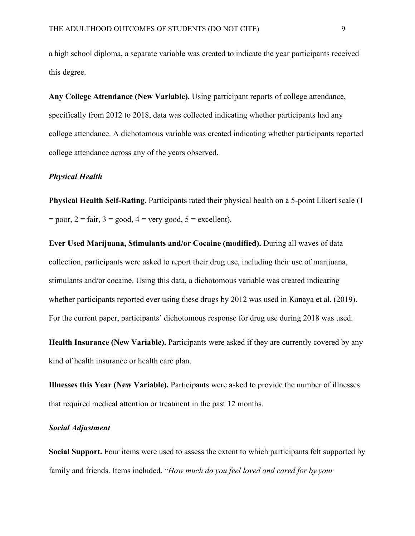a high school diploma, a separate variable was created to indicate the year participants received this degree.

**Any College Attendance (New Variable).** Using participant reports of college attendance, specifically from 2012 to 2018, data was collected indicating whether participants had any college attendance. A dichotomous variable was created indicating whether participants reported college attendance across any of the years observed.

## *Physical Health*

**Physical Health Self-Rating.** Participants rated their physical health on a 5-point Likert scale (1  $=$  poor,  $2 =$  fair,  $3 =$  good,  $4 =$  very good,  $5 =$  excellent).

**Ever Used Marijuana, Stimulants and/or Cocaine (modified).** During all waves of data collection, participants were asked to report their drug use, including their use of marijuana, stimulants and/or cocaine. Using this data, a dichotomous variable was created indicating whether participants reported ever using these drugs by 2012 was used in Kanaya et al. (2019). For the current paper, participants' dichotomous response for drug use during 2018 was used.

**Health Insurance (New Variable).** Participants were asked if they are currently covered by any kind of health insurance or health care plan.

**Illnesses this Year (New Variable).** Participants were asked to provide the number of illnesses that required medical attention or treatment in the past 12 months.

# *Social Adjustment*

**Social Support.** Four items were used to assess the extent to which participants felt supported by family and friends. Items included, "*How much do you feel loved and cared for by your*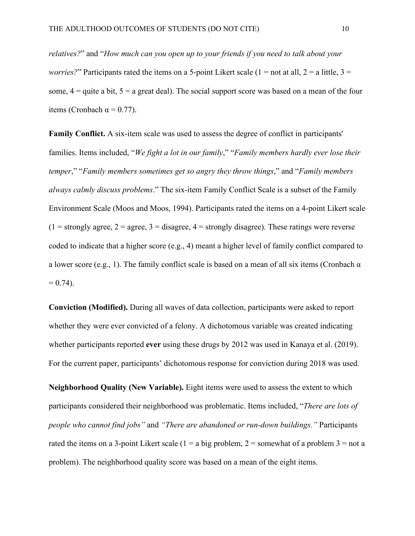*relatives?*" and "*How much can you open up to your friends if you need to talk about your worries?*" Participants rated the items on a 5-point Likert scale ( $1 =$ not at all,  $2 =$ a little,  $3 =$ some,  $4 =$  quite a bit,  $5 =$  a great deal). The social support score was based on a mean of the four items (Cronbach  $\alpha = 0.77$ ).

**Family Conflict.** A six-item scale was used to assess the degree of conflict in participants' families. Items included, "*We fight a lot in our family*," "*Family members hardly ever lose their temper*," "*Family members sometimes get so angry they throw things*," and "*Family members always calmly discuss problems*." The six-item Family Conflict Scale is a subset of the Family Environment Scale (Moos and Moos, 1994). Participants rated the items on a 4-point Likert scale  $(1 =$  strongly agree,  $2 =$  agree,  $3 =$  disagree,  $4 =$  strongly disagree). These ratings were reverse coded to indicate that a higher score (e.g., 4) meant a higher level of family conflict compared to a lower score (e.g., 1). The family conflict scale is based on a mean of all six items (Cronbach  $\alpha$ )  $= 0.74$ ).

**Conviction (Modified).** During all waves of data collection, participants were asked to report whether they were ever convicted of a felony. A dichotomous variable was created indicating whether participants reported **ever** using these drugs by 2012 was used in Kanaya et al. (2019). For the current paper, participants' dichotomous response for conviction during 2018 was used.

**Neighborhood Quality (New Variable).** Eight items were used to assess the extent to which participants considered their neighborhood was problematic. Items included, "*There are lots of people who cannot find jobs"* and *"There are abandoned or run-down buildings."* Participants rated the items on a 3-point Likert scale ( $1 = a$  big problem,  $2 =$  somewhat of a problem  $3 =$  not a problem). The neighborhood quality score was based on a mean of the eight items.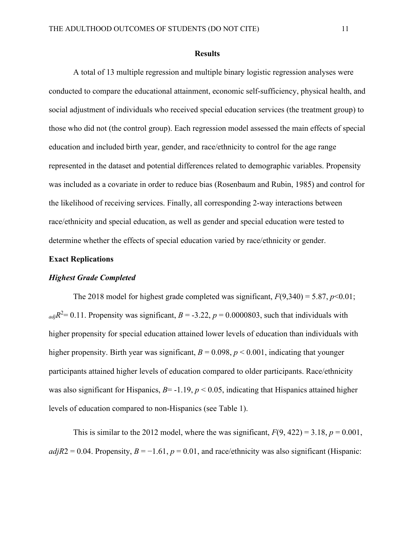#### **Results**

A total of 13 multiple regression and multiple binary logistic regression analyses were conducted to compare the educational attainment, economic self-sufficiency, physical health, and social adjustment of individuals who received special education services (the treatment group) to those who did not (the control group). Each regression model assessed the main effects of special education and included birth year, gender, and race/ethnicity to control for the age range represented in the dataset and potential differences related to demographic variables. Propensity was included as a covariate in order to reduce bias (Rosenbaum and Rubin, 1985) and control for the likelihood of receiving services. Finally, all corresponding 2-way interactions between race/ethnicity and special education, as well as gender and special education were tested to determine whether the effects of special education varied by race/ethnicity or gender.

## **Exact Replications**

### *Highest Grade Completed*

The 2018 model for highest grade completed was significant,  $F(9,340) = 5.87$ ,  $p<0.01$ ;  $_{adj}R^2 = 0.11$ . Propensity was significant,  $B = -3.22$ ,  $p = 0.0000803$ , such that individuals with higher propensity for special education attained lower levels of education than individuals with higher propensity. Birth year was significant,  $B = 0.098$ ,  $p < 0.001$ , indicating that younger participants attained higher levels of education compared to older participants. Race/ethnicity was also significant for Hispanics, *B*=-1.19, *p* < 0.05, indicating that Hispanics attained higher levels of education compared to non-Hispanics (see Table 1).

This is similar to the 2012 model, where the was significant,  $F(9, 422) = 3.18$ ,  $p = 0.001$ ,  $adjR2 = 0.04$ . Propensity,  $B = -1.61$ ,  $p = 0.01$ , and race/ethnicity was also significant (Hispanic: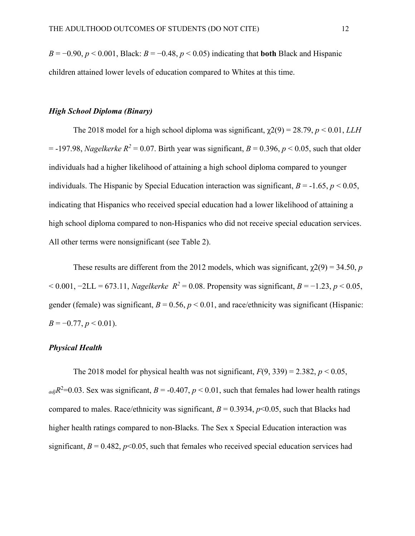$B = -0.90$ ,  $p < 0.001$ , Black:  $B = -0.48$ ,  $p < 0.05$ ) indicating that **both** Black and Hispanic children attained lower levels of education compared to Whites at this time.

### *High School Diploma (Binary)*

The 2018 model for a high school diploma was significant,  $\chi$ 2(9) = 28.79, *p* < 0.01, *LLH*  $=$  -197.98, *Nagelkerke R*<sup>2</sup> = 0.07. Birth year was significant, *B* = 0.396, *p* < 0.05, such that older individuals had a higher likelihood of attaining a high school diploma compared to younger individuals. The Hispanic by Special Education interaction was significant,  $B = -1.65$ ,  $p < 0.05$ , indicating that Hispanics who received special education had a lower likelihood of attaining a high school diploma compared to non-Hispanics who did not receive special education services. All other terms were nonsignificant (see Table 2).

These results are different from the 2012 models, which was significant,  $\chi$ 2(9) = 34.50, *p*  $<$  0.001, −2LL = 673.11, *Nagelkerke*  $R^2$  = 0.08. Propensity was significant, *B* = −1.23, *p* < 0.05, gender (female) was significant,  $B = 0.56$ ,  $p < 0.01$ , and race/ethnicity was significant (Hispanic:  $B = -0.77$ ,  $p < 0.01$ ).

# *Physical Health*

The 2018 model for physical health was not significant,  $F(9, 339) = 2.382$ ,  $p < 0.05$ ,  $_{adj}R^2$ =0.03. Sex was significant, *B* = -0.407, *p* < 0.01, such that females had lower health ratings compared to males. Race/ethnicity was significant,  $B = 0.3934$ ,  $p < 0.05$ , such that Blacks had higher health ratings compared to non-Blacks. The Sex x Special Education interaction was significant,  $B = 0.482$ ,  $p<0.05$ , such that females who received special education services had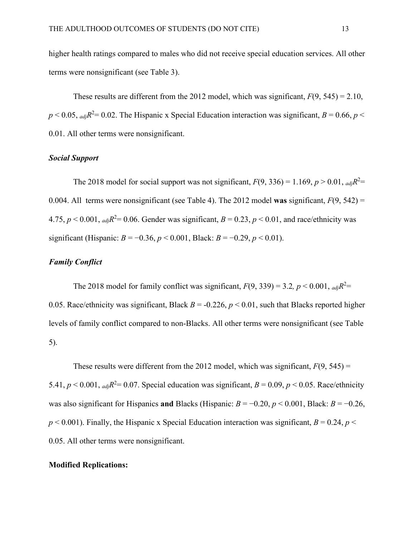higher health ratings compared to males who did not receive special education services. All other terms were nonsignificant (see Table 3).

These results are different from the 2012 model, which was significant,  $F(9, 545) = 2.10$ ,  $p < 0.05$ ,  $_{adj}R^2 = 0.02$ . The Hispanic x Special Education interaction was significant,  $B = 0.66$ ,  $p <$ 0.01. All other terms were nonsignificant.

## *Social Support*

The 2018 model for social support was not significant,  $F(9, 336) = 1.169$ ,  $p > 0.01$ ,  $_{adj}R^2 =$ 0.004. All terms were nonsignificant (see Table 4). The 2012 model **was** significant, *F*(9, 542) = 4.75,  $p < 0.001$ ,  $_{adj}R^2 = 0.06$ . Gender was significant,  $B = 0.23$ ,  $p < 0.01$ , and race/ethnicity was significant (Hispanic:  $B = -0.36$ ,  $p < 0.001$ , Black:  $B = -0.29$ ,  $p < 0.01$ ).

# *Family Conflict*

The 2018 model for family conflict was significant,  $F(9, 339) = 3.2$ ,  $p < 0.001$ ,  $_{adj}R^2 =$ 0.05. Race/ethnicity was significant, Black  $B = -0.226$ ,  $p < 0.01$ , such that Blacks reported higher levels of family conflict compared to non-Blacks. All other terms were nonsignificant (see Table 5).

These results were different from the 2012 model, which was significant,  $F(9, 545) =$ 5.41,  $p < 0.001$ ,  $_{adj}R^2 = 0.07$ . Special education was significant,  $B = 0.09$ ,  $p < 0.05$ . Race/ethnicity was also significant for Hispanics **and** Blacks (Hispanic:  $B = -0.20$ ,  $p < 0.001$ , Black:  $B = -0.26$ ,  $p$  < 0.001). Finally, the Hispanic x Special Education interaction was significant,  $B = 0.24$ ,  $p$  < 0.05. All other terms were nonsignificant.

## **Modified Replications:**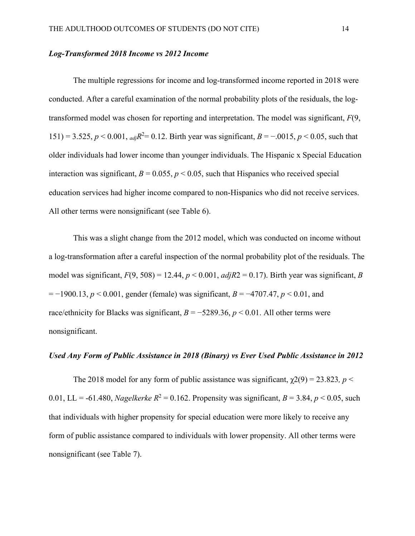# *Log-Transformed 2018 Income vs 2012 Income*

The multiple regressions for income and log-transformed income reported in 2018 were conducted. After a careful examination of the normal probability plots of the residuals, the logtransformed model was chosen for reporting and interpretation. The model was significant, *F*(9, 151) = 3.525,  $p < 0.001$ ,  $_{adj}R^2 = 0.12$ . Birth year was significant,  $B = -.0015$ ,  $p < 0.05$ , such that older individuals had lower income than younger individuals. The Hispanic x Special Education interaction was significant,  $B = 0.055$ ,  $p < 0.05$ , such that Hispanics who received special education services had higher income compared to non-Hispanics who did not receive services. All other terms were nonsignificant (see Table 6).

This was a slight change from the 2012 model, which was conducted on income without a log-transformation after a careful inspection of the normal probability plot of the residuals. The model was significant,  $F(9, 508) = 12.44$ ,  $p < 0.001$ ,  $adjR2 = 0.17$ ). Birth year was significant, *B* = −1900.13, *p* < 0.001, gender (female) was significant, *B* = −4707.47, *p* < 0.01, and race/ethnicity for Blacks was significant,  $B = -5289.36$ ,  $p < 0.01$ . All other terms were nonsignificant.

# *Used Any Form of Public Assistance in 2018 (Binary) vs Ever Used Public Assistance in 2012*

The 2018 model for any form of public assistance was significant,  $\chi$ 2(9) = 23.823, *p* < 0.01, LL = -61.480, *Nagelkerke*  $R^2 = 0.162$ . Propensity was significant,  $B = 3.84$ ,  $p < 0.05$ , such that individuals with higher propensity for special education were more likely to receive any form of public assistance compared to individuals with lower propensity. All other terms were nonsignificant (see Table 7).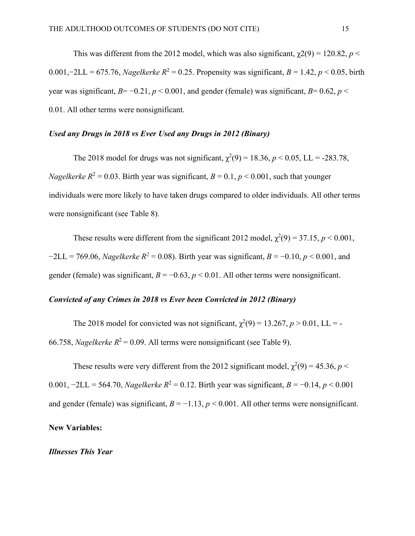This was different from the 2012 model, which was also significant,  $\gamma$ 2(9) = 120.82, *p* < 0.001,−2LL = 675.76, *Nagelkerke R*<sup>2</sup> = 0.25. Propensity was significant, *B* = 1.42, *p* < 0.05, birth year was significant,  $B=-0.21$ ,  $p < 0.001$ , and gender (female) was significant,  $B=0.62$ ,  $p <$ 0.01. All other terms were nonsignificant.

# *Used any Drugs in 2018 vs Ever Used any Drugs in 2012 (Binary)*

The 2018 model for drugs was not significant,  $\chi^2(9) = 18.36$ ,  $p < 0.05$ , LL = -283.78, *Nagelkerke*  $R^2 = 0.03$ . Birth year was significant,  $B = 0.1$ ,  $p < 0.001$ , such that younger individuals were more likely to have taken drugs compared to older individuals. All other terms were nonsignificant (see Table 8).

These results were different from the significant 2012 model,  $\chi^2(9) = 37.15$ ,  $p < 0.001$ ,  $-2LL = 769.06$ , *Nagelkerke R*<sup>2</sup> = 0.08). Birth year was significant, *B* =  $-0.10$ , *p* < 0.001, and gender (female) was significant,  $B = -0.63$ ,  $p < 0.01$ . All other terms were nonsignificant.

# *Convicted of any Crimes in 2018 vs Ever been Convicted in 2012 (Binary)*

The 2018 model for convicted was not significant,  $\chi^2(9) = 13.267$ ,  $p > 0.01$ , LL = -66.758, *Nagelkerke*  $R^2 = 0.09$ . All terms were nonsignificant (see Table 9).

These results were very different from the 2012 significant model,  $\chi^2(9) = 45.36$ ,  $p <$ 0.001,  $-2LL = 564.70$ , *Nagelkerke*  $R^2 = 0.12$ . Birth year was significant,  $B = -0.14$ ,  $p < 0.001$ and gender (female) was significant,  $B = -1.13$ ,  $p < 0.001$ . All other terms were nonsignificant.

## **New Variables:**

### *Illnesses This Year*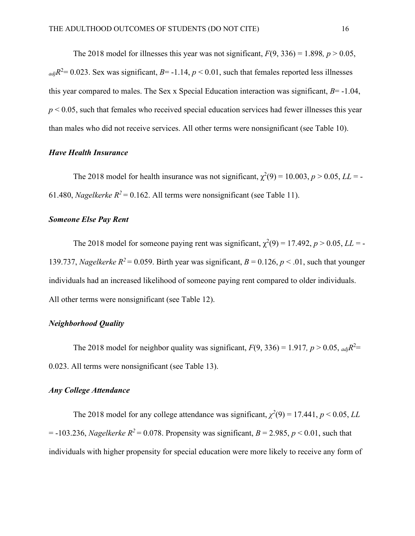The 2018 model for illnesses this year was not significant,  $F(9, 336) = 1.898$ ,  $p > 0.05$ ,  $_{adj}R^2 = 0.023$ . Sex was significant,  $B = -1.14$ ,  $p < 0.01$ , such that females reported less illnesses this year compared to males. The Sex x Special Education interaction was significant,  $B = -1.04$ ,  $p < 0.05$ , such that females who received special education services had fewer illnesses this year than males who did not receive services. All other terms were nonsignificant (see Table 10).

# *Have Health Insurance*

The 2018 model for health insurance was not significant,  $\chi^2(9) = 10.003$ ,  $p > 0.05$ ,  $LL = -1$ 61.480, *Nagelkerke*  $R^2 = 0.162$ . All terms were nonsignificant (see Table 11).

# *Someone Else Pay Rent*

The 2018 model for someone paying rent was significant,  $\chi^2(9) = 17.492$ ,  $p > 0.05$ ,  $LL = -1$ 139.737, *Nagelkerke*  $R^2 = 0.059$ . Birth year was significant,  $B = 0.126$ ,  $p < .01$ , such that younger individuals had an increased likelihood of someone paying rent compared to older individuals. All other terms were nonsignificant (see Table 12).

# *Neighborhood Quality*

The 2018 model for neighbor quality was significant,  $F(9, 336) = 1.917$ ,  $p > 0.05$ ,  $_{adj}R^2 =$ 0.023. All terms were nonsignificant (see Table 13).

## *Any College Attendance*

The 2018 model for any college attendance was significant,  $\chi^2(9) = 17.441$ ,  $p < 0.05$ , *LL*  $= -103.236$ , *Nagelkerke R*<sup>2</sup> = 0.078. Propensity was significant, *B* = 2.985, *p* < 0.01, such that individuals with higher propensity for special education were more likely to receive any form of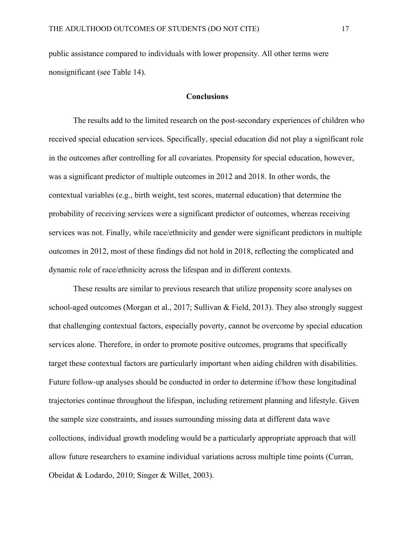public assistance compared to individuals with lower propensity. All other terms were nonsignificant (see Table 14).

## **Conclusions**

The results add to the limited research on the post-secondary experiences of children who received special education services. Specifically, special education did not play a significant role in the outcomes after controlling for all covariates. Propensity for special education, however, was a significant predictor of multiple outcomes in 2012 and 2018. In other words, the contextual variables (e.g., birth weight, test scores, maternal education) that determine the probability of receiving services were a significant predictor of outcomes, whereas receiving services was not. Finally, while race/ethnicity and gender were significant predictors in multiple outcomes in 2012, most of these findings did not hold in 2018, reflecting the complicated and dynamic role of race/ethnicity across the lifespan and in different contexts.

These results are similar to previous research that utilize propensity score analyses on school-aged outcomes (Morgan et al., 2017; Sullivan & Field, 2013). They also strongly suggest that challenging contextual factors, especially poverty, cannot be overcome by special education services alone. Therefore, in order to promote positive outcomes, programs that specifically target these contextual factors are particularly important when aiding children with disabilities. Future follow-up analyses should be conducted in order to determine if/how these longitudinal trajectories continue throughout the lifespan, including retirement planning and lifestyle. Given the sample size constraints, and issues surrounding missing data at different data wave collections, individual growth modeling would be a particularly appropriate approach that will allow future researchers to examine individual variations across multiple time points (Curran, Obeidat & Lodardo, 2010; Singer & Willet, 2003).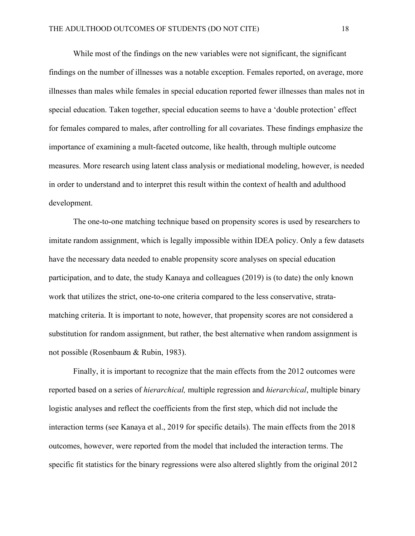While most of the findings on the new variables were not significant, the significant findings on the number of illnesses was a notable exception. Females reported, on average, more illnesses than males while females in special education reported fewer illnesses than males not in special education. Taken together, special education seems to have a 'double protection' effect for females compared to males, after controlling for all covariates. These findings emphasize the importance of examining a mult-faceted outcome, like health, through multiple outcome measures. More research using latent class analysis or mediational modeling, however, is needed in order to understand and to interpret this result within the context of health and adulthood development.

The one-to-one matching technique based on propensity scores is used by researchers to imitate random assignment, which is legally impossible within IDEA policy. Only a few datasets have the necessary data needed to enable propensity score analyses on special education participation, and to date, the study Kanaya and colleagues (2019) is (to date) the only known work that utilizes the strict, one-to-one criteria compared to the less conservative, stratamatching criteria. It is important to note, however, that propensity scores are not considered a substitution for random assignment, but rather, the best alternative when random assignment is not possible (Rosenbaum & Rubin, 1983).

Finally, it is important to recognize that the main effects from the 2012 outcomes were reported based on a series of *hierarchical,* multiple regression and *hierarchical*, multiple binary logistic analyses and reflect the coefficients from the first step, which did not include the interaction terms (see Kanaya et al., 2019 for specific details). The main effects from the 2018 outcomes, however, were reported from the model that included the interaction terms. The specific fit statistics for the binary regressions were also altered slightly from the original 2012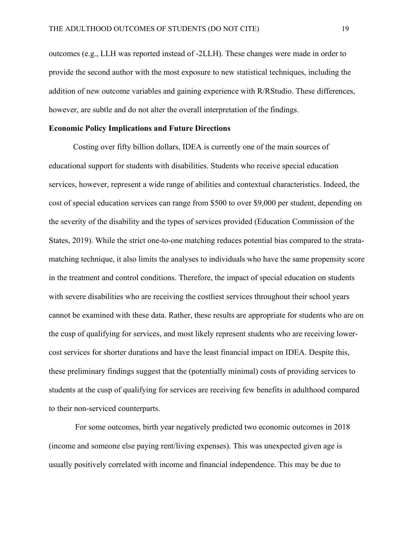outcomes (e.g., LLH was reported instead of -2LLH). These changes were made in order to provide the second author with the most exposure to new statistical techniques, including the addition of new outcome variables and gaining experience with R/RStudio. These differences, however, are subtle and do not alter the overall interpretation of the findings.

### **Economic Policy Implications and Future Directions**

Costing over fifty billion dollars, IDEA is currently one of the main sources of educational support for students with disabilities. Students who receive special education services, however, represent a wide range of abilities and contextual characteristics. Indeed, the cost of special education services can range from \$500 to over \$9,000 per student, depending on the severity of the disability and the types of services provided (Education Commission of the States, 2019). While the strict one-to-one matching reduces potential bias compared to the stratamatching technique, it also limits the analyses to individuals who have the same propensity score in the treatment and control conditions. Therefore, the impact of special education on students with severe disabilities who are receiving the costliest services throughout their school years cannot be examined with these data. Rather, these results are appropriate for students who are on the cusp of qualifying for services, and most likely represent students who are receiving lowercost services for shorter durations and have the least financial impact on IDEA. Despite this, these preliminary findings suggest that the (potentially minimal) costs of providing services to students at the cusp of qualifying for services are receiving few benefits in adulthood compared to their non-serviced counterparts.

 For some outcomes, birth year negatively predicted two economic outcomes in 2018 (income and someone else paying rent/living expenses). This was unexpected given age is usually positively correlated with income and financial independence. This may be due to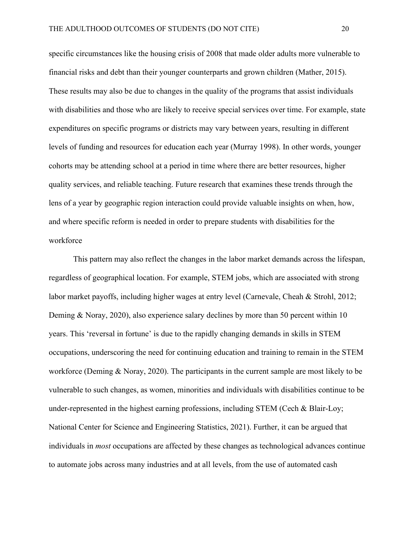specific circumstances like the housing crisis of 2008 that made older adults more vulnerable to financial risks and debt than their younger counterparts and grown children (Mather, 2015). These results may also be due to changes in the quality of the programs that assist individuals with disabilities and those who are likely to receive special services over time. For example, state expenditures on specific programs or districts may vary between years, resulting in different levels of funding and resources for education each year (Murray 1998). In other words, younger cohorts may be attending school at a period in time where there are better resources, higher quality services, and reliable teaching. Future research that examines these trends through the lens of a year by geographic region interaction could provide valuable insights on when, how, and where specific reform is needed in order to prepare students with disabilities for the workforce

This pattern may also reflect the changes in the labor market demands across the lifespan, regardless of geographical location. For example, STEM jobs, which are associated with strong labor market payoffs, including higher wages at entry level (Carnevale, Cheah & Strohl, 2012; Deming & Noray, 2020), also experience salary declines by more than 50 percent within 10 years. This 'reversal in fortune' is due to the rapidly changing demands in skills in STEM occupations, underscoring the need for continuing education and training to remain in the STEM workforce (Deming & Noray, 2020). The participants in the current sample are most likely to be vulnerable to such changes, as women, minorities and individuals with disabilities continue to be under-represented in the highest earning professions, including STEM (Cech & Blair-Loy; National Center for Science and Engineering Statistics, 2021). Further, it can be argued that individuals in *most* occupations are affected by these changes as technological advances continue to automate jobs across many industries and at all levels, from the use of automated cash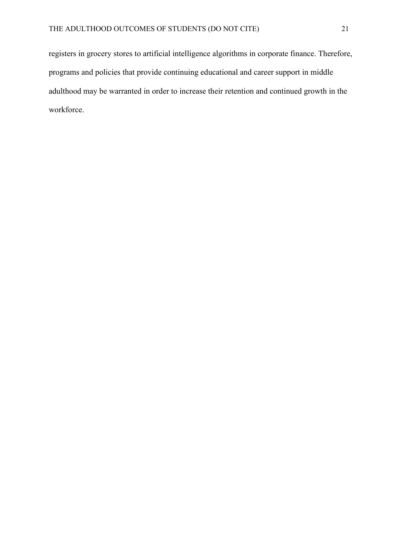registers in grocery stores to artificial intelligence algorithms in corporate finance. Therefore, programs and policies that provide continuing educational and career support in middle adulthood may be warranted in order to increase their retention and continued growth in the workforce.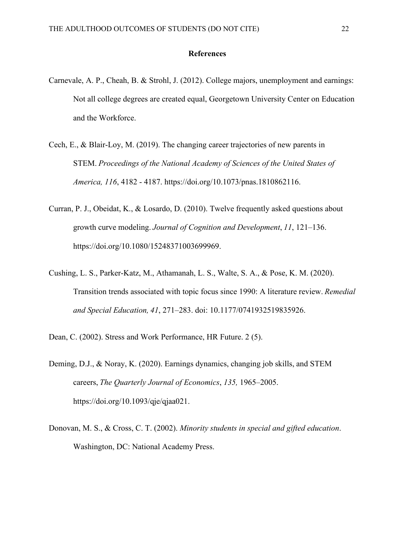## **References**

- Carnevale, A. P., Cheah, B. & Strohl, J. (2012). College majors, unemployment and earnings: Not all college degrees are created equal, Georgetown University Center on Education and the Workforce.
- Cech, E., & Blair-Loy, M. (2019). The changing career trajectories of new parents in STEM. *Proceedings of the National Academy of Sciences of the United States of America, 116*, 4182 - 4187. https://doi.org/10.1073/pnas.1810862116.
- Curran, P. J., Obeidat, K., & Losardo, D. (2010). Twelve frequently asked questions about growth curve modeling. *Journal of Cognition and Development*, *11*, 121–136. https://doi.org/10.1080/15248371003699969.
- Cushing, L. S., Parker-Katz, M., Athamanah, L. S., Walte, S. A., & Pose, K. M. (2020). Transition trends associated with topic focus since 1990: A literature review. *Remedial and Special Education, 41*, 271–283. doi: 10.1177/0741932519835926.

Dean, C. (2002). Stress and Work Performance, HR Future. 2 (5).

- Deming, D.J., & Noray, K. (2020). Earnings dynamics, changing job skills, and STEM careers, *The Quarterly Journal of Economics*, *135,* 1965–2005. https://doi.org/10.1093/qje/qjaa021.
- Donovan, M. S., & Cross, C. T. (2002). *Minority students in special and gifted education*. Washington, DC: National Academy Press.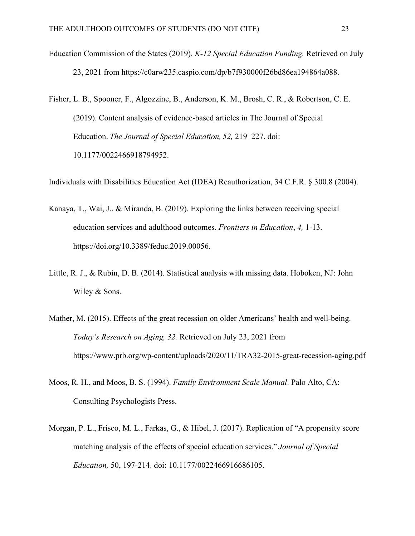- Education Commission of the States (2019). *K-12 Special Education Funding.* Retrieved on July 23, 2021 from https://c0arw235.caspio.com/dp/b7f930000f26bd86ea194864a088.
- Fisher, L. B., Spooner, F., Algozzine, B., Anderson, K. M., Brosh, C. R., & Robertson, C. E. (2019). Content analysis o**f** evidence-based articles in The Journal of Special Education.*The Journal of Special Education, 52,* 219–227. doi: 10.1177/0022466918794952.

Individuals with Disabilities Education Act (IDEA) Reauthorization, 34 C.F.R. § 300.8 (2004).

- Kanaya, T., Wai, J., & Miranda, B. (2019). Exploring the links between receiving special education services and adulthood outcomes. *Frontiers in Education*, *4,* 1-13. https://doi.org[/10.3389/feduc.2019.00056.](https://doi.org/10.3389/feduc.2019.00056)
- Little, R. J., & Rubin, D. B. (2014). Statistical analysis with missing data. Hoboken, NJ: John Wiley & Sons.
- Mather, M. (2015). Effects of the great recession on older Americans' health and well-being. *Today's Research on Aging, 32.* Retrieved on July 23, 2021 from https://www.prb.org/wp-content/uploads/2020/11/TRA32-2015-great-recession-aging.pdf
- Moos, R. H., and Moos, B. S. (1994). *Family Environment Scale Manual*. Palo Alto, CA: Consulting Psychologists Press.
- Morgan, P. L., Frisco, M. L., Farkas, G., & Hibel, J. (2017). Replication of "A propensity score matching analysis of the effects of special education services." *Journal of Special Education,* 50, 197-214. doi: 10.1177/0022466916686105.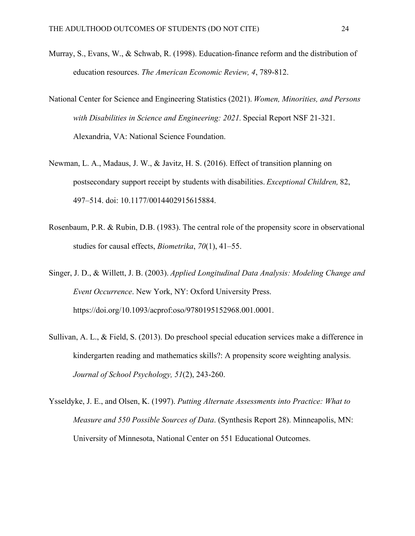- Murray, S., Evans, W., & Schwab, R. (1998). Education-finance reform and the distribution of education resources. *The American Economic Review, 4*, 789-812.
- National Center for Science and Engineering Statistics (2021). *Women, Minorities, and Persons with Disabilities in Science and Engineering: 2021.*Special Report NSF 21-321. Alexandria, VA: National Science Foundation.
- Newman, L. A., Madaus, J. W., & Javitz, H. S. (2016). Effect of transition planning on postsecondary support receipt by students with disabilities. *Exceptional Children,* 82, 497–514. doi: 10.1177/0014402915615884.
- Rosenbaum, P.R. & Rubin, D.B. (1983). The central role of the propensity score in observational studies for causal effects, *Biometrika*, *70*(1), 41–55.
- Singer, J. D., & Willett, J. B. (2003). *Applied Longitudinal Data Analysis: Modeling Change and Event Occurrence*. New York, NY: Oxford University Press. https://doi.org/10.1093/acprof:oso/9780195152968.001.0001.
- Sullivan, A. L., & Field, S. (2013). Do preschool special education services make a difference in kindergarten reading and mathematics skills?: A propensity score weighting analysis. *Journal of School Psychology, 51*(2), 243-260.
- Ysseldyke, J. E., and Olsen, K. (1997). *Putting Alternate Assessments into Practice: What to Measure and 550 Possible Sources of Data*. (Synthesis Report 28). Minneapolis, MN: University of Minnesota, National Center on 551 Educational Outcomes.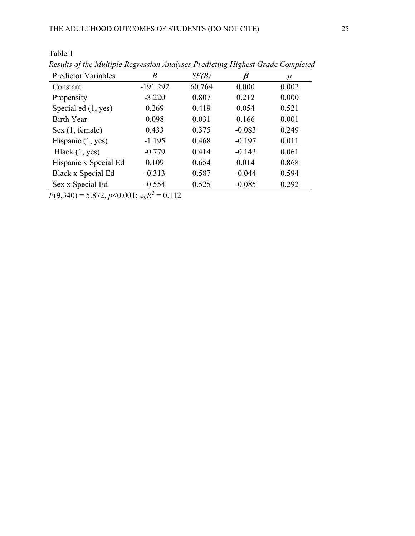| <b>Predictor Variables</b> | Β          | SE(B)  | ß        | p     |
|----------------------------|------------|--------|----------|-------|
| Constant                   | $-191.292$ | 60.764 | 0.000    | 0.002 |
| Propensity                 | $-3.220$   | 0.807  | 0.212    | 0.000 |
| Special ed (1, yes)        | 0.269      | 0.419  | 0.054    | 0.521 |
| <b>Birth Year</b>          | 0.098      | 0.031  | 0.166    | 0.001 |
| Sex (1, female)            | 0.433      | 0.375  | $-0.083$ | 0.249 |
| Hispanic $(1, yes)$        | $-1.195$   | 0.468  | $-0.197$ | 0.011 |
| Black $(1, yes)$           | $-0.779$   | 0.414  | $-0.143$ | 0.061 |
| Hispanic x Special Ed      | 0.109      | 0.654  | 0.014    | 0.868 |
| Black x Special Ed         | $-0.313$   | 0.587  | $-0.044$ | 0.594 |
| Sex x Special Ed           | $-0.554$   | 0.525  | $-0.085$ | 0.292 |

Table 1 *Results of the Multiple Regression Analyses Predicting Highest Grade Completed*

 $F(9,340) = 5.872, p < 0.001;$   $_{adj}R^2 = 0.112$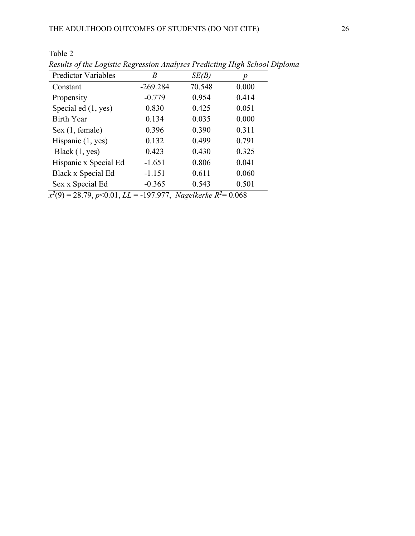Table 2

| B          | SE(B)  | р     |
|------------|--------|-------|
| $-269.284$ | 70.548 | 0.000 |
| $-0.779$   | 0.954  | 0.414 |
| 0.830      | 0.425  | 0.051 |
| 0.134      | 0.035  | 0.000 |
| 0.396      | 0.390  | 0.311 |
| 0.132      | 0.499  | 0.791 |
| 0.423      | 0.430  | 0.325 |
| $-1.651$   | 0.806  | 0.041 |
| $-1.151$   | 0.611  | 0.060 |
| $-0.365$   | 0.543  | 0.501 |
|            |        |       |

*Results of the Logistic Regression Analyses Predicting High School Diploma*

*x2* (9) = 28.79, *p*<0.01, *LL* = -197.977, *Nagelkerke R2* = 0.068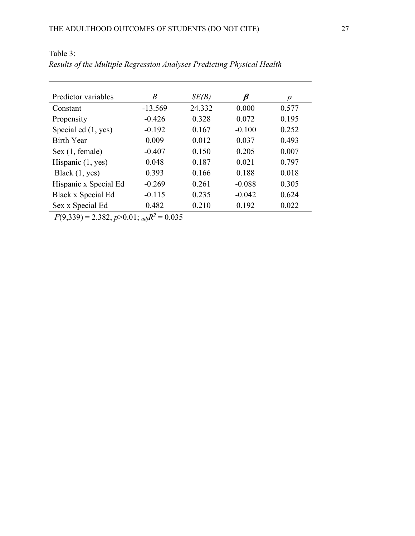| Predictor variables   | B         | SE(B)  | β        | $\boldsymbol{p}$ |
|-----------------------|-----------|--------|----------|------------------|
| Constant              | $-13.569$ | 24.332 | 0.000    | 0.577            |
| Propensity            | $-0.426$  | 0.328  | 0.072    | 0.195            |
| Special ed (1, yes)   | $-0.192$  | 0.167  | $-0.100$ | 0.252            |
| <b>Birth Year</b>     | 0.009     | 0.012  | 0.037    | 0.493            |
| Sex (1, female)       | $-0.407$  | 0.150  | 0.205    | 0.007            |
| Hispanic $(1, yes)$   | 0.048     | 0.187  | 0.021    | 0.797            |
| Black $(1, yes)$      | 0.393     | 0.166  | 0.188    | 0.018            |
| Hispanic x Special Ed | $-0.269$  | 0.261  | $-0.088$ | 0.305            |
| Black x Special Ed    | $-0.115$  | 0.235  | $-0.042$ | 0.624            |
| Sex x Special Ed      | 0.482     | 0.210  | 0.192    | 0.022            |

Table 3: *Results of the Multiple Regression Analyses Predicting Physical Health*

 $F(9,339) = 2.382, p > 0.01;$   $_{adj}R^2 = 0.035$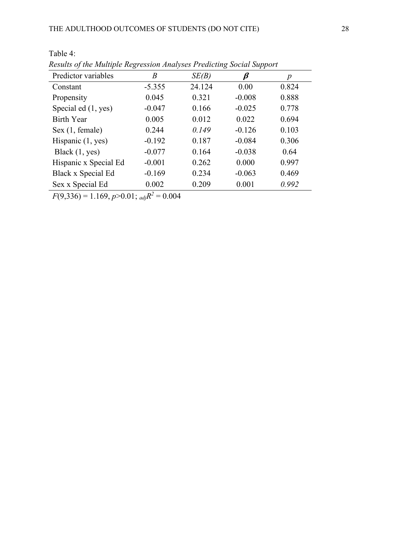| Predictor variables   | Β        | SE(B)  | ß        | p     |
|-----------------------|----------|--------|----------|-------|
| Constant              | $-5.355$ | 24.124 | 0.00     | 0.824 |
| Propensity            | 0.045    | 0.321  | $-0.008$ | 0.888 |
| Special ed (1, yes)   | $-0.047$ | 0.166  | $-0.025$ | 0.778 |
| <b>Birth Year</b>     | 0.005    | 0.012  | 0.022    | 0.694 |
| Sex (1, female)       | 0.244    | 0.149  | $-0.126$ | 0.103 |
| Hispanic $(1, yes)$   | $-0.192$ | 0.187  | $-0.084$ | 0.306 |
| Black $(1, yes)$      | $-0.077$ | 0.164  | $-0.038$ | 0.64  |
| Hispanic x Special Ed | $-0.001$ | 0.262  | 0.000    | 0.997 |
| Black x Special Ed    | $-0.169$ | 0.234  | $-0.063$ | 0.469 |
| Sex x Special Ed      | 0.002    | 0.209  | 0.001    | 0.992 |

Table 4: *Results of the Multiple Regression Analyses Predicting Social Support*

 $F(9,336) = 1.169, p > 0.01;$   $_{adj}R^2 = 0.004$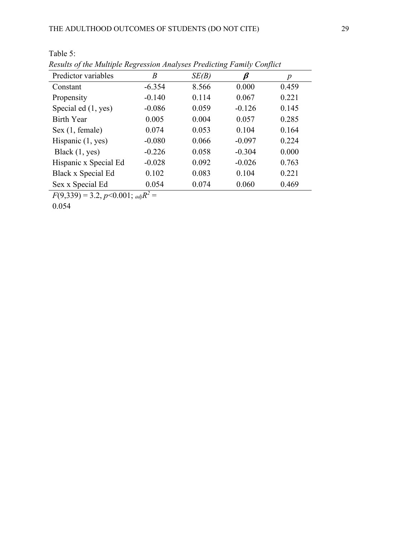| Predictor variables   | B        | SE(B) | $\boldsymbol{\beta}$ | p     |
|-----------------------|----------|-------|----------------------|-------|
| Constant              | $-6.354$ | 8.566 | 0.000                | 0.459 |
| Propensity            | $-0.140$ | 0.114 | 0.067                | 0.221 |
| Special ed (1, yes)   | $-0.086$ | 0.059 | $-0.126$             | 0.145 |
| <b>Birth Year</b>     | 0.005    | 0.004 | 0.057                | 0.285 |
| Sex (1, female)       | 0.074    | 0.053 | 0.104                | 0.164 |
| Hispanic $(1, yes)$   | $-0.080$ | 0.066 | $-0.097$             | 0.224 |
| Black $(1, yes)$      | $-0.226$ | 0.058 | $-0.304$             | 0.000 |
| Hispanic x Special Ed | $-0.028$ | 0.092 | $-0.026$             | 0.763 |
| Black x Special Ed    | 0.102    | 0.083 | 0.104                | 0.221 |
| Sex x Special Ed      | 0.054    | 0.074 | 0.060                | 0.469 |

*Results of the Multiple Regression Analyses Predicting Family Conflict*

 $F(9,339) = 3.2, p < 0.001;$  *adj* $R^2 =$ 

0.054

Table 5: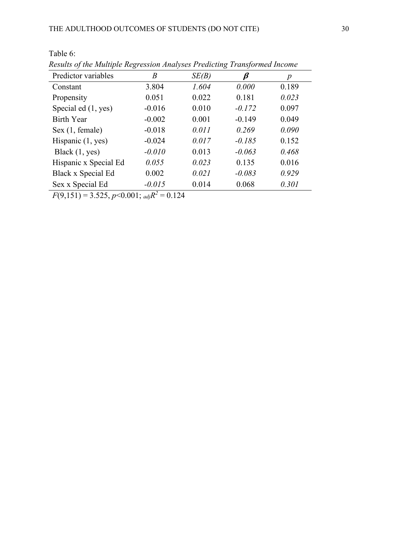| Predictor variables   | $\boldsymbol{B}$ | SE(B) | β        | p     |
|-----------------------|------------------|-------|----------|-------|
| Constant              | 3.804            | 1.604 | 0.000    | 0.189 |
| Propensity            | 0.051            | 0.022 | 0.181    | 0.023 |
| Special ed (1, yes)   | $-0.016$         | 0.010 | $-0.172$ | 0.097 |
| <b>Birth Year</b>     | $-0.002$         | 0.001 | $-0.149$ | 0.049 |
| Sex (1, female)       | $-0.018$         | 0.011 | 0.269    | 0.090 |
| Hispanic $(1, yes)$   | $-0.024$         | 0.017 | $-0.185$ | 0.152 |
| Black $(1, yes)$      | $-0.010$         | 0.013 | $-0.063$ | 0.468 |
| Hispanic x Special Ed | 0.055            | 0.023 | 0.135    | 0.016 |
| Black x Special Ed    | 0.002            | 0.021 | $-0.083$ | 0.929 |
| Sex x Special Ed      | $-0.015$         | 0.014 | 0.068    | 0.301 |

Table 6: *Results of the Multiple Regression Analyses Predicting Transformed Income*

 $F(9,151) = 3.525, p < 0.001;$   $_{adj}R^2 = 0.124$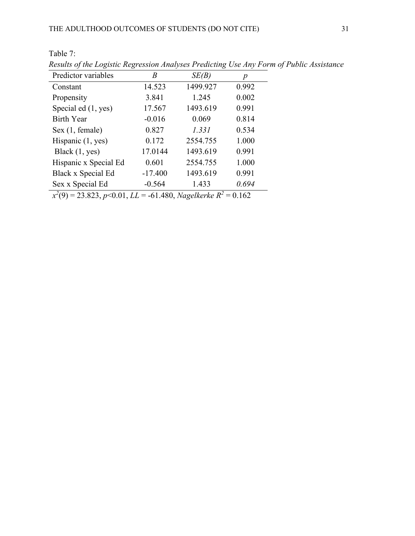Table 7:

| Results of the Logistic Regression Analyses Predicting Use Any Form of Public Assi |           |                                           |       |  |
|------------------------------------------------------------------------------------|-----------|-------------------------------------------|-------|--|
| Predictor variables                                                                | B         | SE(B)                                     | p     |  |
| Constant                                                                           | 14.523    | 1499.927                                  | 0.992 |  |
| Propensity                                                                         | 3.841     | 1.245                                     | 0.002 |  |
| Special ed (1, yes)                                                                | 17.567    | 1493.619                                  | 0.991 |  |
| Birth Year                                                                         | $-0.016$  | 0.069                                     | 0.814 |  |
| Sex (1, female)                                                                    | 0.827     | 1.331                                     | 0.534 |  |
| Hispanic $(1, yes)$                                                                | 0.172     | 2554.755                                  | 1.000 |  |
| Black $(1, yes)$                                                                   | 17.0144   | 1493.619                                  | 0.991 |  |
| Hispanic x Special Ed                                                              | 0.601     | 2554.755                                  | 1.000 |  |
| Black x Special Ed                                                                 | $-17.400$ | 1493.619                                  | 0.991 |  |
| Sex x Special Ed                                                                   | $-0.564$  | 1.433                                     | 0.694 |  |
| $2(2)$ as $222$ $221$                                                              |           | $(1.100 \text{ yr} \cdot 11 \text{ m}^2)$ |       |  |

*Results of the Logistic Regression Analyses Predicting Use Any Form of Public Assistance*

*x2* (9) = 23.823, *p*<0.01, *LL* = -61.480, *Nagelkerke R2* = 0.162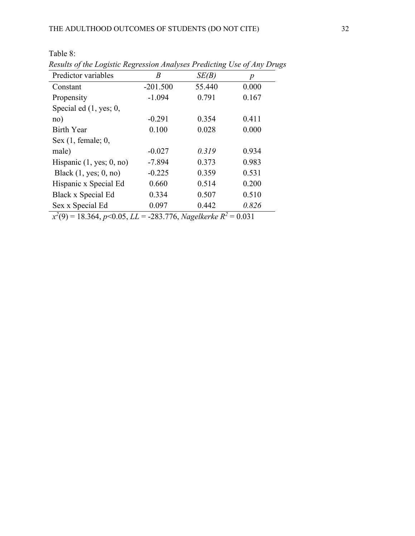| Results of the Logistic Regression Analyses Preatcling Use of Any Drug |            |        |                  |
|------------------------------------------------------------------------|------------|--------|------------------|
| Predictor variables                                                    | B          | SE(B)  | $\boldsymbol{p}$ |
| Constant                                                               | $-201.500$ | 55.440 | 0.000            |
| Propensity                                                             | $-1.094$   | 0.791  | 0.167            |
| Special ed (1, yes; 0,                                                 |            |        |                  |
| no)                                                                    | $-0.291$   | 0.354  | 0.411            |
| Birth Year                                                             | 0.100      | 0.028  | 0.000            |
| Sex $(1,$ female; $0,$                                                 |            |        |                  |
| male)                                                                  | $-0.027$   | 0.319  | 0.934            |
| Hispanic $(1, yes; 0, no)$                                             | $-7.894$   | 0.373  | 0.983            |
| Black $(1, yes; 0, no)$                                                | $-0.225$   | 0.359  | 0.531            |
| Hispanic x Special Ed                                                  | 0.660      | 0.514  | 0.200            |
| Black x Special Ed                                                     | 0.334      | 0.507  | 0.510            |
| Sex x Special Ed                                                       | 0.097      | 0.442  | 0.826            |

Table 8: *Results of the Logistic Regression Analyses Predicting Use of Any Drugs*

*x2* (9) = 18.364, *p*<0.05, *LL* = -283.776, *Nagelkerke R2* = 0.031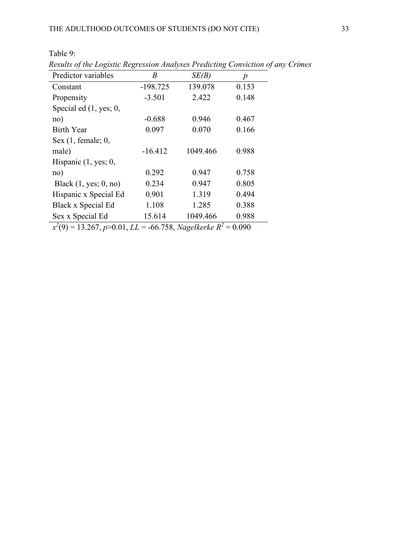| Results of the Logistic Regression Analyses Predicting Conviction of any |            |          |                  |
|--------------------------------------------------------------------------|------------|----------|------------------|
| Predictor variables                                                      | B          | SE(B)    | $\boldsymbol{p}$ |
| Constant                                                                 | $-198.725$ | 139.078  | 0.153            |
| Propensity                                                               | $-3.501$   | 2.422    | 0.148            |
| Special ed $(1, yes; 0,$                                                 |            |          |                  |
| no)                                                                      | $-0.688$   | 0.946    | 0.467            |
| Birth Year                                                               | 0.097      | 0.070    | 0.166            |
| Sex $(1, female; 0,$                                                     |            |          |                  |
| male)                                                                    | $-16.412$  | 1049.466 | 0.988            |
| Hispanic $(1, \text{yes}; 0,$                                            |            |          |                  |
| no)                                                                      | 0.292      | 0.947    | 0.758            |
| Black $(1, yes; 0, no)$                                                  | 0.234      | 0.947    | 0.805            |
| Hispanic x Special Ed                                                    | 0.901      | 1.319    | 0.494            |
| Black x Special Ed                                                       | 1.108      | 1.285    | 0.388            |
| Sex x Special Ed                                                         | 15.614     | 1049.466 | 0.988            |

Table 9: *Results of the Logistic Regression Analyses Predicting Conviction of any Crimes*

*x2* (9) = 13.267, *p*>0.01, *LL* = -66.758, *Nagelkerke R2* = 0.090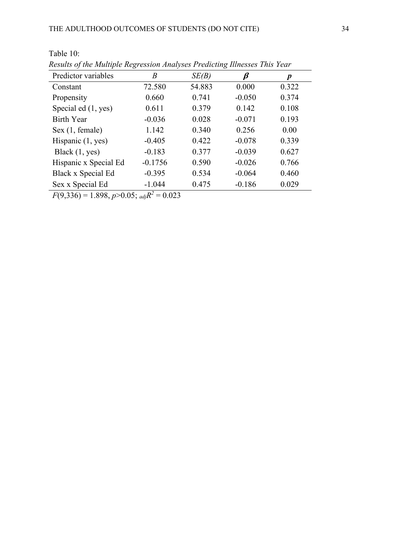| Predictor variables   | B         | SE(B)  | ß        | $\boldsymbol{p}$ |
|-----------------------|-----------|--------|----------|------------------|
| Constant              | 72.580    | 54.883 | 0.000    | 0.322            |
| Propensity            | 0.660     | 0.741  | $-0.050$ | 0.374            |
| Special ed (1, yes)   | 0.611     | 0.379  | 0.142    | 0.108            |
| <b>Birth Year</b>     | $-0.036$  | 0.028  | $-0.071$ | 0.193            |
| Sex (1, female)       | 1.142     | 0.340  | 0.256    | 0.00             |
| Hispanic $(1, yes)$   | $-0.405$  | 0.422  | $-0.078$ | 0.339            |
| Black $(1, yes)$      | $-0.183$  | 0.377  | $-0.039$ | 0.627            |
| Hispanic x Special Ed | $-0.1756$ | 0.590  | $-0.026$ | 0.766            |
| Black x Special Ed    | $-0.395$  | 0.534  | $-0.064$ | 0.460            |
| Sex x Special Ed      | $-1.044$  | 0.475  | $-0.186$ | 0.029            |

*Results of the Multiple Regression Analyses Predicting Illnesses This Year*

 $F(9,336) = 1.898, p > 0.05;$  *adj* $R^2 = 0.023$ 

Table 10: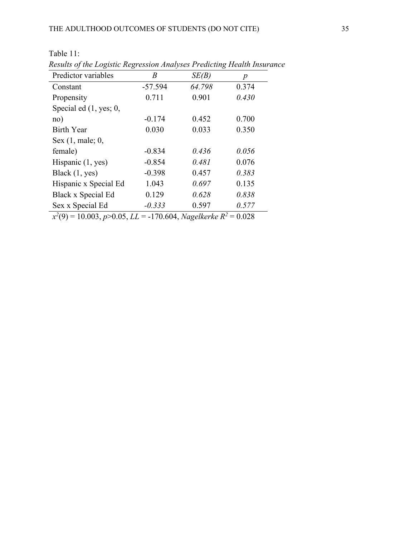| Predictor variables       | Β         | SE(B)  | p     |
|---------------------------|-----------|--------|-------|
| Constant                  | $-57.594$ | 64.798 | 0.374 |
| Propensity                | 0.711     | 0.901  | 0.430 |
| Special ed $(1, yes; 0,$  |           |        |       |
| no)                       | $-0.174$  | 0.452  | 0.700 |
| <b>Birth Year</b>         | 0.030     | 0.033  | 0.350 |
| Sex $(1, \text{male}; 0,$ |           |        |       |
| female)                   | $-0.834$  | 0.436  | 0.056 |
| Hispanic $(1, yes)$       | $-0.854$  | 0.481  | 0.076 |
| Black $(1, yes)$          | $-0.398$  | 0.457  | 0.383 |
| Hispanic x Special Ed     | 1.043     | 0.697  | 0.135 |
| Black x Special Ed        | 0.129     | 0.628  | 0.838 |
| Sex x Special Ed          | $-0.333$  | 0.597  | 0.577 |

Table 11: *Results of the Logistic Regression Analyses Predicting Health Insurance*

*x2* (9) = 10.003, *p*>0.05, *LL* = -170.604, *Nagelkerke R2* = 0.028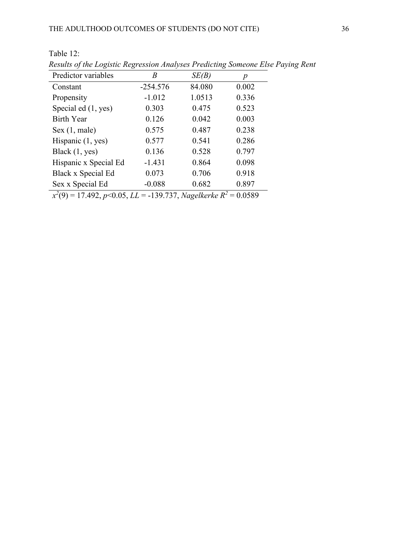| Results of the Logistic Regression Analyses I redicting Someone Lise I t      |            |        |       |
|-------------------------------------------------------------------------------|------------|--------|-------|
| Predictor variables                                                           | B          | SE(B)  | p     |
| Constant                                                                      | $-254.576$ | 84.080 | 0.002 |
| Propensity                                                                    | $-1.012$   | 1.0513 | 0.336 |
| Special ed (1, yes)                                                           | 0.303      | 0.475  | 0.523 |
| <b>Birth Year</b>                                                             | 0.126      | 0.042  | 0.003 |
| Sex (1, male)                                                                 | 0.575      | 0.487  | 0.238 |
| Hispanic $(1, yes)$                                                           | 0.577      | 0.541  | 0.286 |
| Black $(1, yes)$                                                              | 0.136      | 0.528  | 0.797 |
| Hispanic x Special Ed                                                         | $-1.431$   | 0.864  | 0.098 |
| Black x Special Ed                                                            | 0.073      | 0.706  | 0.918 |
| Sex x Special Ed                                                              | $-0.088$   | 0.682  | 0.897 |
| $x^2(9) = 17.492$ , p<0.05, LL = -139.737, Nagelkerke R <sup>2</sup> = 0.0589 |            |        |       |

Table 12: *Results of the Logistic Regression Analyses Predicting Someone Else Paying Rent*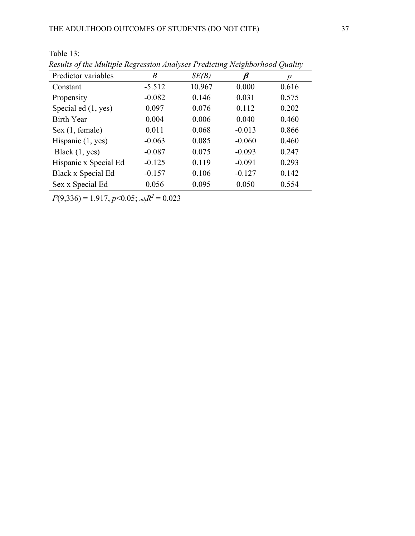| Predictor variables   | B        | SE(B)  | $\boldsymbol{\beta}$ | p     |
|-----------------------|----------|--------|----------------------|-------|
| Constant              | $-5.512$ | 10.967 | 0.000                | 0.616 |
| Propensity            | $-0.082$ | 0.146  | 0.031                | 0.575 |
| Special ed (1, yes)   | 0.097    | 0.076  | 0.112                | 0.202 |
| <b>Birth Year</b>     | 0.004    | 0.006  | 0.040                | 0.460 |
| Sex (1, female)       | 0.011    | 0.068  | $-0.013$             | 0.866 |
| Hispanic $(1, yes)$   | $-0.063$ | 0.085  | $-0.060$             | 0.460 |
| Black $(1, yes)$      | $-0.087$ | 0.075  | $-0.093$             | 0.247 |
| Hispanic x Special Ed | $-0.125$ | 0.119  | $-0.091$             | 0.293 |
| Black x Special Ed    | $-0.157$ | 0.106  | $-0.127$             | 0.142 |
| Sex x Special Ed      | 0.056    | 0.095  | 0.050                | 0.554 |

Table 13: *Results of the Multiple Regression Analyses Predicting Neighborhood Quality*

*F*(9,336) = 1.917, *p*<0.05; *adjR2* = 0.023